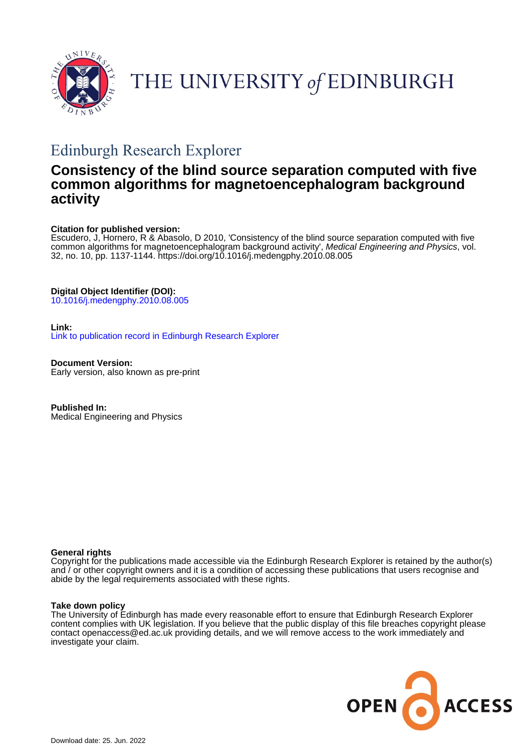

# THE UNIVERSITY of EDINBURGH

# Edinburgh Research Explorer

### **Consistency of the blind source separation computed with five common algorithms for magnetoencephalogram background activity**

#### **Citation for published version:**

Escudero, J, Hornero, R & Abasolo, D 2010, 'Consistency of the blind source separation computed with five common algorithms for magnetoencephalogram background activity', Medical Engineering and Physics, vol. 32, no. 10, pp. 1137-1144.<https://doi.org/10.1016/j.medengphy.2010.08.005>

#### **Digital Object Identifier (DOI):**

[10.1016/j.medengphy.2010.08.005](https://doi.org/10.1016/j.medengphy.2010.08.005)

#### **Link:**

[Link to publication record in Edinburgh Research Explorer](https://www.research.ed.ac.uk/en/publications/79603196-11c3-47a5-9191-425e71d23b99)

**Document Version:** Early version, also known as pre-print

**Published In:** Medical Engineering and Physics

#### **General rights**

Copyright for the publications made accessible via the Edinburgh Research Explorer is retained by the author(s) and / or other copyright owners and it is a condition of accessing these publications that users recognise and abide by the legal requirements associated with these rights.

#### **Take down policy**

The University of Edinburgh has made every reasonable effort to ensure that Edinburgh Research Explorer content complies with UK legislation. If you believe that the public display of this file breaches copyright please contact openaccess@ed.ac.uk providing details, and we will remove access to the work immediately and investigate your claim.

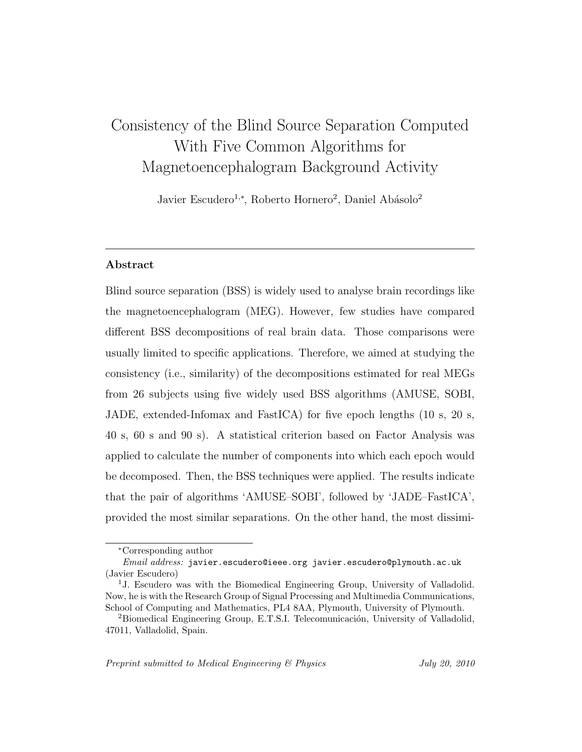# Consistency of the Blind Source Separation Computed With Five Common Algorithms for Magnetoencephalogram Background Activity

Javier Escudero<sup>1,\*</sup>, Roberto Hornero<sup>2</sup>, Daniel Abásolo<sup>2</sup>

#### Abstract

Blind source separation (BSS) is widely used to analyse brain recordings like the magnetoencephalogram (MEG). However, few studies have compared different BSS decompositions of real brain data. Those comparisons were usually limited to specific applications. Therefore, we aimed at studying the consistency (i.e., similarity) of the decompositions estimated for real MEGs from 26 subjects using five widely used BSS algorithms (AMUSE, SOBI, JADE, extended-Infomax and FastICA) for five epoch lengths (10 s, 20 s, 40 s, 60 s and 90 s). A statistical criterion based on Factor Analysis was applied to calculate the number of components into which each epoch would be decomposed. Then, the BSS techniques were applied. The results indicate that the pair of algorithms 'AMUSE–SOBI', followed by 'JADE–FastICA', provided the most similar separations. On the other hand, the most dissimi-

<sup>∗</sup>Corresponding author

Email address: javier.escudero@ieee.org javier.escudero@plymouth.ac.uk (Javier Escudero)

<sup>&</sup>lt;sup>1</sup>J. Escudero was with the Biomedical Engineering Group, University of Valladolid. Now, he is with the Research Group of Signal Processing and Multimedia Communications, School of Computing and Mathematics, PL4 8AA, Plymouth, University of Plymouth.

<sup>&</sup>lt;sup>2</sup>Biomedical Engineering Group, E.T.S.I. Telecomunicación, University of Valladolid, 47011, Valladolid, Spain.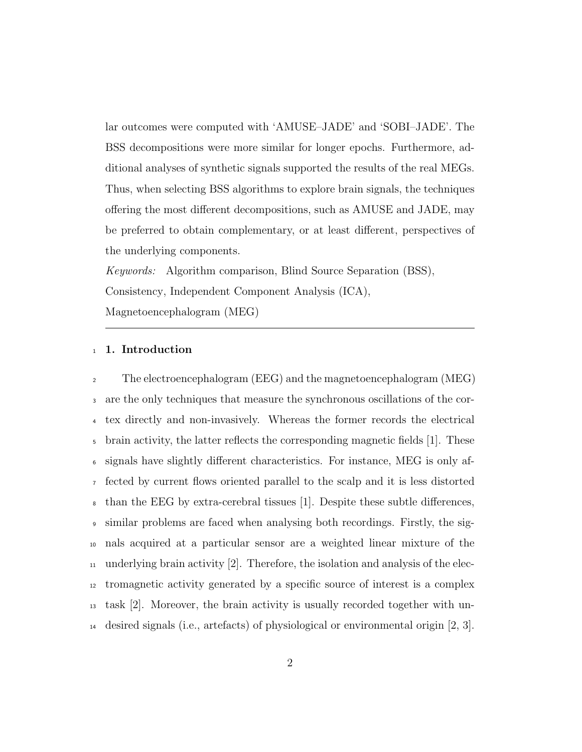lar outcomes were computed with 'AMUSE–JADE' and 'SOBI–JADE'. The BSS decompositions were more similar for longer epochs. Furthermore, additional analyses of synthetic signals supported the results of the real MEGs. Thus, when selecting BSS algorithms to explore brain signals, the techniques offering the most different decompositions, such as AMUSE and JADE, may be preferred to obtain complementary, or at least different, perspectives of the underlying components.

Keywords: Algorithm comparison, Blind Source Separation (BSS), Consistency, Independent Component Analysis (ICA), Magnetoencephalogram (MEG)

#### <sup>1</sup> 1. Introduction

 The electroencephalogram (EEG) and the magnetoencephalogram (MEG) are the only techniques that measure the synchronous oscillations of the cor- tex directly and non-invasively. Whereas the former records the electrical brain activity, the latter reflects the corresponding magnetic fields [1]. These signals have slightly different characteristics. For instance, MEG is only af- fected by current flows oriented parallel to the scalp and it is less distorted than the EEG by extra-cerebral tissues [1]. Despite these subtle differences, similar problems are faced when analysing both recordings. Firstly, the sig- nals acquired at a particular sensor are a weighted linear mixture of the  $_{11}$  underlying brain activity [2]. Therefore, the isolation and analysis of the elec- tromagnetic activity generated by a specific source of interest is a complex task [2]. Moreover, the brain activity is usually recorded together with un-desired signals (i.e., artefacts) of physiological or environmental origin [2, 3].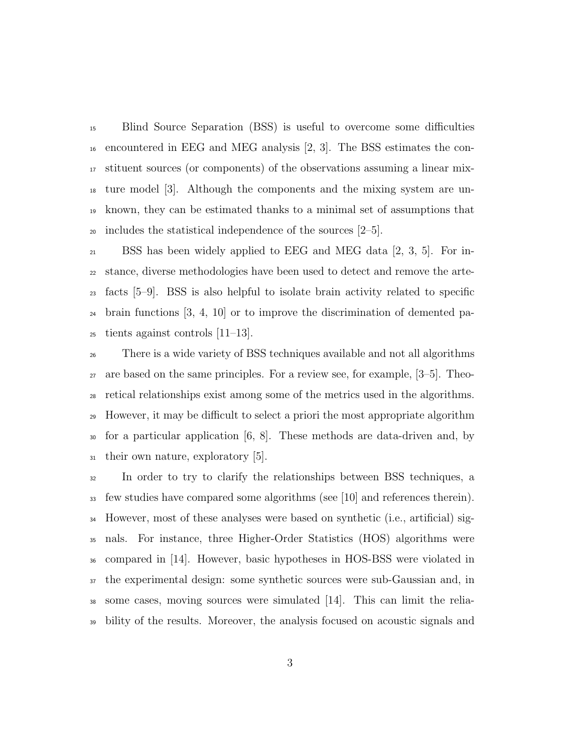Blind Source Separation (BSS) is useful to overcome some difficulties encountered in EEG and MEG analysis [2, 3]. The BSS estimates the con- stituent sources (or components) of the observations assuming a linear mix- ture model [3]. Although the components and the mixing system are un- known, they can be estimated thanks to a minimal set of assumptions that 20 includes the statistical independence of the sources  $[2-5]$ .

 BSS has been widely applied to EEG and MEG data [2, 3, 5]. For in- stance, diverse methodologies have been used to detect and remove the arte- facts [5–9]. BSS is also helpful to isolate brain activity related to specific brain functions [3, 4, 10] or to improve the discrimination of demented pa-tients against controls [11–13].

 There is a wide variety of BSS techniques available and not all algorithms are based on the same principles. For a review see, for example, [3–5]. Theo- retical relationships exist among some of the metrics used in the algorithms. However, it may be difficult to select a priori the most appropriate algorithm for a particular application [6, 8]. These methods are data-driven and, by their own nature, exploratory [5].

 In order to try to clarify the relationships between BSS techniques, a  $\frac{3}{33}$  few studies have compared some algorithms (see [10] and references therein). However, most of these analyses were based on synthetic (i.e., artificial) sig- nals. For instance, three Higher-Order Statistics (HOS) algorithms were compared in [14]. However, basic hypotheses in HOS-BSS were violated in the experimental design: some synthetic sources were sub-Gaussian and, in some cases, moving sources were simulated [14]. This can limit the relia-bility of the results. Moreover, the analysis focused on acoustic signals and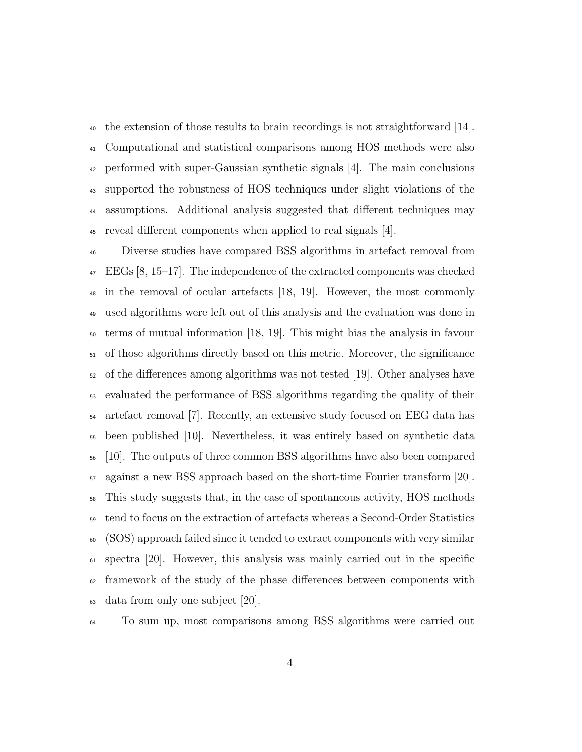the extension of those results to brain recordings is not straightforward [14]. Computational and statistical comparisons among HOS methods were also performed with super-Gaussian synthetic signals [4]. The main conclusions supported the robustness of HOS techniques under slight violations of the assumptions. Additional analysis suggested that different techniques may reveal different components when applied to real signals [4].

 Diverse studies have compared BSS algorithms in artefact removal from EEGs [8, 15–17]. The independence of the extracted components was checked in the removal of ocular artefacts [18, 19]. However, the most commonly used algorithms were left out of this analysis and the evaluation was done in terms of mutual information [18, 19]. This might bias the analysis in favour of those algorithms directly based on this metric. Moreover, the significance of the differences among algorithms was not tested [19]. Other analyses have evaluated the performance of BSS algorithms regarding the quality of their artefact removal [7]. Recently, an extensive study focused on EEG data has been published [10]. Nevertheless, it was entirely based on synthetic data [10]. The outputs of three common BSS algorithms have also been compared against a new BSS approach based on the short-time Fourier transform [20]. This study suggests that, in the case of spontaneous activity, HOS methods tend to focus on the extraction of artefacts whereas a Second-Order Statistics (SOS) approach failed since it tended to extract components with very similar spectra [20]. However, this analysis was mainly carried out in the specific framework of the study of the phase differences between components with data from only one subject [20].

To sum up, most comparisons among BSS algorithms were carried out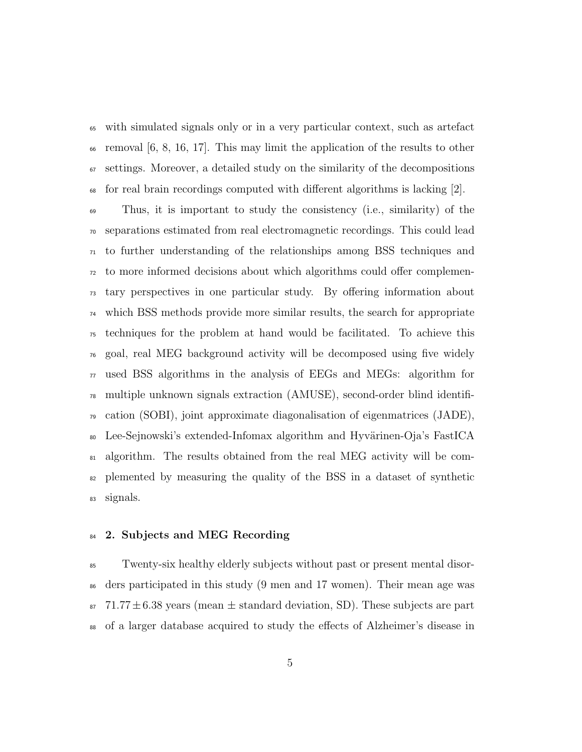with simulated signals only or in a very particular context, such as artefact removal  $[6, 8, 16, 17]$ . This may limit the application of the results to other  $\sigma$  settings. Moreover, a detailed study on the similarity of the decompositions for real brain recordings computed with different algorithms is lacking [2].

 Thus, it is important to study the consistency (i.e., similarity) of the separations estimated from real electromagnetic recordings. This could lead to further understanding of the relationships among BSS techniques and to more informed decisions about which algorithms could offer complemen- tary perspectives in one particular study. By offering information about which BSS methods provide more similar results, the search for appropriate techniques for the problem at hand would be facilitated. To achieve this goal, real MEG background activity will be decomposed using five widely  $\pi$  used BSS algorithms in the analysis of EEGs and MEGs: algorithm for multiple unknown signals extraction (AMUSE), second-order blind identifi- $\gamma_9$  cation (SOBI), joint approximate diagonalisation of eigenmatrices (JADE), <sup>80</sup> Lee-Sejnowski's extended-Infomax algorithm and Hyvärinen-Oja's FastICA algorithm. The results obtained from the real MEG activity will be com- plemented by measuring the quality of the BSS in a dataset of synthetic signals.

#### 84 2. Subjects and MEG Recording

 Twenty-six healthy elderly subjects without past or present mental disor- ders participated in this study (9 men and 17 women). Their mean age was 87 71.77  $\pm$  6.38 years (mean  $\pm$  standard deviation, SD). These subjects are part of a larger database acquired to study the effects of Alzheimer's disease in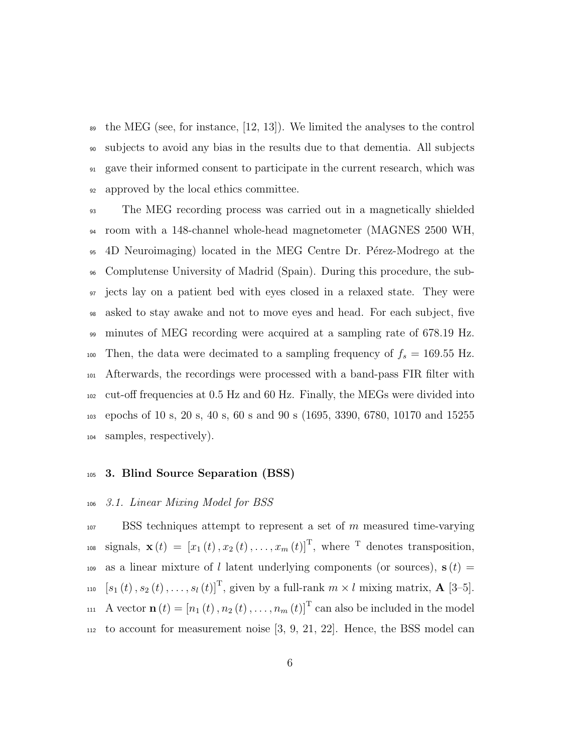$\bullet$  the MEG (see, for instance, [12, 13]). We limited the analyses to the control subjects to avoid any bias in the results due to that dementia. All subjects gave their informed consent to participate in the current research, which was approved by the local ethics committee.

 The MEG recording process was carried out in a magnetically shielded room with a 148-channel whole-head magnetometer (MAGNES 2500 WH, <sup>95</sup> 4D Neuroimaging) located in the MEG Centre Dr. Pérez-Modrego at the Complutense University of Madrid (Spain). During this procedure, the sub- jects lay on a patient bed with eyes closed in a relaxed state. They were asked to stay awake and not to move eyes and head. For each subject, five minutes of MEG recording were acquired at a sampling rate of 678.19 Hz. 100 Then, the data were decimated to a sampling frequency of  $f_s = 169.55$  Hz. Afterwards, the recordings were processed with a band-pass FIR filter with cut-off frequencies at 0.5 Hz and 60 Hz. Finally, the MEGs were divided into epochs of 10 s, 20 s, 40 s, 60 s and 90 s (1695, 3390, 6780, 10170 and 15255 samples, respectively).

#### 3. Blind Source Separation (BSS)

#### 3.1. Linear Mixing Model for BSS

 BSS techniques attempt to represent a set of m measured time-varying <sup>108</sup> signals,  $\mathbf{x}(t) = [x_1(t), x_2(t), \dots, x_m(t)]^T$ , where <sup>T</sup> denotes transposition, 109 as a linear mixture of l latent underlying components (or sources),  $s(t) =$ <sup>110</sup>  $[s_1 (t), s_2 (t), \ldots, s_l (t)]^T$ , given by a full-rank  $m \times l$  mixing matrix, **A** [3–5]. <sup>111</sup> A vector  $\mathbf{n}(t) = [n_1(t), n_2(t), \dots, n_m(t)]^T$  can also be included in the model to account for measurement noise [3, 9, 21, 22]. Hence, the BSS model can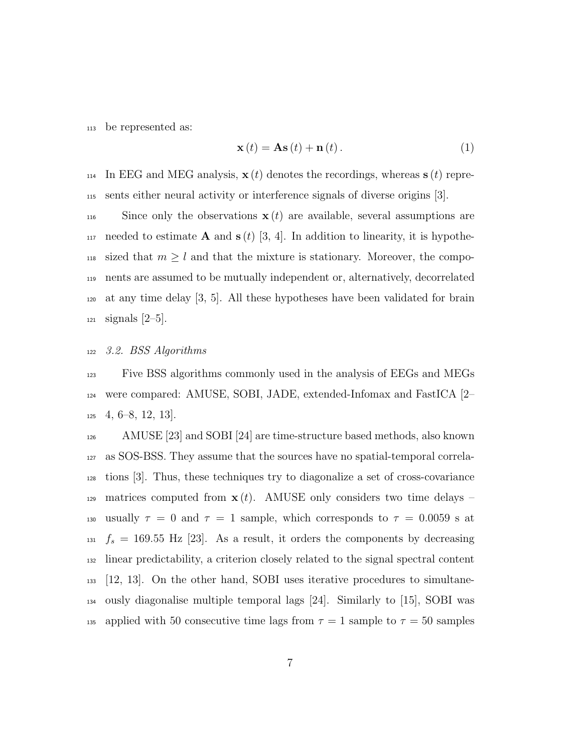<sup>113</sup> be represented as:

$$
\mathbf{x}(t) = \mathbf{A}\mathbf{s}(t) + \mathbf{n}(t).
$$
 (1)

<sup>114</sup> In EEG and MEG analysis,  $\mathbf{x}(t)$  denotes the recordings, whereas  $\mathbf{s}(t)$  repre-<sup>115</sup> sents either neural activity or interference signals of diverse origins [3].

116 Since only the observations  $x(t)$  are available, several assumptions are 117 needed to estimate **A** and  $s(t)$  [3, 4]. In addition to linearity, it is hypothe-<sup>118</sup> sized that  $m \geq l$  and that the mixture is stationary. Moreover, the compo-<sup>119</sup> nents are assumed to be mutually independent or, alternatively, decorrelated  $120$  at any time delay  $[3, 5]$ . All these hypotheses have been validated for brain <sup>121</sup> signals [2–5].

#### <sup>122</sup> 3.2. BSS Algorithms

<sup>123</sup> Five BSS algorithms commonly used in the analysis of EEGs and MEGs <sup>124</sup> were compared: AMUSE, SOBI, JADE, extended-Infomax and FastICA [2–  $125 \quad 4, 6-8, 12, 13$ .

<sup>126</sup> AMUSE [23] and SOBI [24] are time-structure based methods, also known <sup>127</sup> as SOS-BSS. They assume that the sources have no spatial-temporal correla-<sup>128</sup> tions [3]. Thus, these techniques try to diagonalize a set of cross-covariance 129 matrices computed from  $\mathbf{x}(t)$ . AMUSE only considers two time delays – 130 usually  $\tau = 0$  and  $\tau = 1$  sample, which corresponds to  $\tau = 0.0059$  s at  $f_s = 169.55$  Hz [23]. As a result, it orders the components by decreasing <sup>132</sup> linear predictability, a criterion closely related to the signal spectral content <sup>133</sup> [12, 13]. On the other hand, SOBI uses iterative procedures to simultane-<sup>134</sup> ously diagonalise multiple temporal lags [24]. Similarly to [15], SOBI was 135 applied with 50 consecutive time lags from  $\tau = 1$  sample to  $\tau = 50$  samples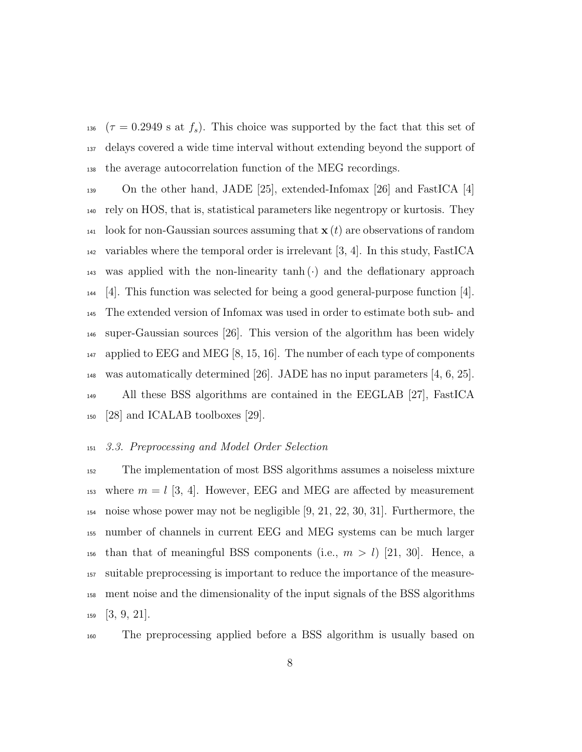136 ( $\tau = 0.2949$  s at  $f_s$ ). This choice was supported by the fact that this set of delays covered a wide time interval without extending beyond the support of the average autocorrelation function of the MEG recordings.

 On the other hand, JADE [25], extended-Infomax [26] and FastICA [4] rely on HOS, that is, statistical parameters like negentropy or kurtosis. They <sup>141</sup> look for non-Gaussian sources assuming that  $\mathbf{x}(t)$  are observations of random  $_{142}$  variables where the temporal order is irrelevant [3, 4]. In this study, FastICA  $_{143}$  was applied with the non-linearity tanh (·) and the deflationary approach [4]. This function was selected for being a good general-purpose function [4]. The extended version of Infomax was used in order to estimate both sub- and super-Gaussian sources [26]. This version of the algorithm has been widely  $_{147}$  applied to EEG and MEG [8, 15, 16]. The number of each type of components <sup>148</sup> was automatically determined [26]. JADE has no input parameters [4, 6, 25]. All these BSS algorithms are contained in the EEGLAB [27], FastICA [28] and ICALAB toolboxes [29].

#### 3.3. Preprocessing and Model Order Selection

 The implementation of most BSS algorithms assumes a noiseless mixture <sup>153</sup> where  $m = l$  [3, 4]. However, EEG and MEG are affected by measurement noise whose power may not be negligible [9, 21, 22, 30, 31]. Furthermore, the number of channels in current EEG and MEG systems can be much larger <sup>156</sup> than that of meaningful BSS components (i.e.,  $m > l$ ) [21, 30]. Hence, a suitable preprocessing is important to reduce the importance of the measure- ment noise and the dimensionality of the input signals of the BSS algorithms [3, 9, 21].

The preprocessing applied before a BSS algorithm is usually based on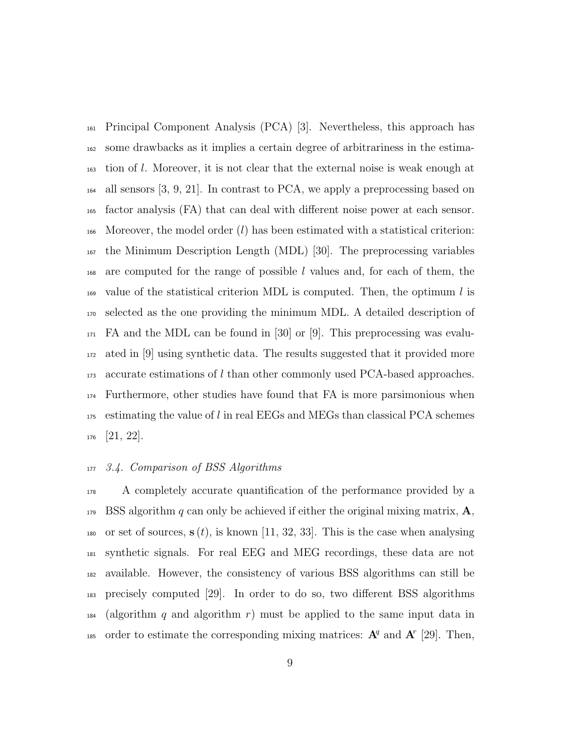Principal Component Analysis (PCA) [3]. Nevertheless, this approach has some drawbacks as it implies a certain degree of arbitrariness in the estima- tion of l. Moreover, it is not clear that the external noise is weak enough at all sensors [3, 9, 21]. In contrast to PCA, we apply a preprocessing based on factor analysis (FA) that can deal with different noise power at each sensor. 166 Moreover, the model order  $(l)$  has been estimated with a statistical criterion: the Minimum Description Length (MDL) [30]. The preprocessing variables are computed for the range of possible l values and, for each of them, the  $_{169}$  value of the statistical criterion MDL is computed. Then, the optimum l is selected as the one providing the minimum MDL. A detailed description of FA and the MDL can be found in [30] or [9]. This preprocessing was evalu- ated in [9] using synthetic data. The results suggested that it provided more accurate estimations of l than other commonly used PCA-based approaches. Furthermore, other studies have found that FA is more parsimonious when estimating the value of l in real EEGs and MEGs than classical PCA schemes [21, 22].

#### 3.4. Comparison of BSS Algorithms

 A completely accurate quantification of the performance provided by a 179 BSS algorithm q can only be achieved if either the original mixing matrix,  $\mathbf{A}$ , 180 or set of sources,  $s(t)$ , is known [11, 32, 33]. This is the case when analysing synthetic signals. For real EEG and MEG recordings, these data are not available. However, the consistency of various BSS algorithms can still be precisely computed [29]. In order to do so, two different BSS algorithms  $_{184}$  (algorithm q and algorithm r) must be applied to the same input data in 185 order to estimate the corresponding mixing matrices:  $A^q$  and  $A^r$  [29]. Then,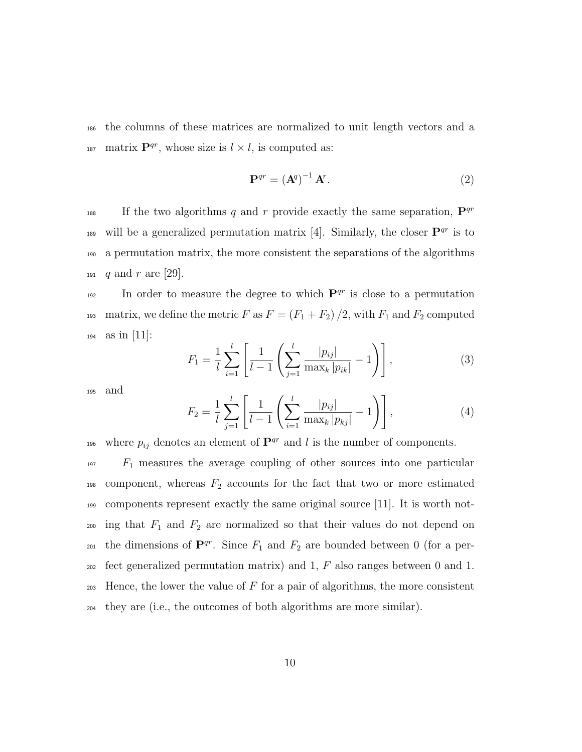<sup>186</sup> the columns of these matrices are normalized to unit length vectors and a <sup>187</sup> matrix  $\mathbf{P}^{qr}$ , whose size is  $l \times l$ , is computed as:

$$
\mathbf{P}^{qr} = \left(\mathbf{A}^q\right)^{-1} \mathbf{A}^r. \tag{2}
$$

If the two algorithms q and r provide exactly the same separation,  $\mathbf{P}^{qr}$ 188 189 will be a generalized permutation matrix [4]. Similarly, the closer  $\mathbf{P}^{qr}$  is to <sup>190</sup> a permutation matrix, the more consistent the separations of the algorithms 191 q and r are [29].

 $I<sub>192</sub>$  In order to measure the degree to which  $\mathbf{P}^{qr}$  is close to a permutation 193 matrix, we define the metric F as  $F = (F_1 + F_2)/2$ , with  $F_1$  and  $F_2$  computed 194 as in [11]:

$$
F_1 = \frac{1}{l} \sum_{i=1}^{l} \left[ \frac{1}{l-1} \left( \sum_{j=1}^{l} \frac{|p_{ij}|}{\max_k |p_{ik}|} - 1 \right) \right],
$$
 (3)

<sup>195</sup> and

$$
F_2 = \frac{1}{l} \sum_{j=1}^{l} \left[ \frac{1}{l-1} \left( \sum_{i=1}^{l} \frac{|p_{ij}|}{\max_k |p_{kj}|} - 1 \right) \right],
$$
 (4)

196 where  $p_{ij}$  denotes an element of  $\mathbf{P}^{qr}$  and l is the number of components.

 $197$   $F_1$  measures the average coupling of other sources into one particular 198 component, whereas  $F_2$  accounts for the fact that two or more estimated <sup>199</sup> components represent exactly the same original source [11]. It is worth not- $_{200}$  ing that  $F_1$  and  $F_2$  are normalized so that their values do not depend on <sup>201</sup> the dimensions of  $\mathbf{P}^{qr}$ . Since  $F_1$  and  $F_2$  are bounded between 0 (for a per- $_{202}$  fect generalized permutation matrix) and 1, F also ranges between 0 and 1.  $203$  Hence, the lower the value of F for a pair of algorithms, the more consistent <sup>204</sup> they are (i.e., the outcomes of both algorithms are more similar).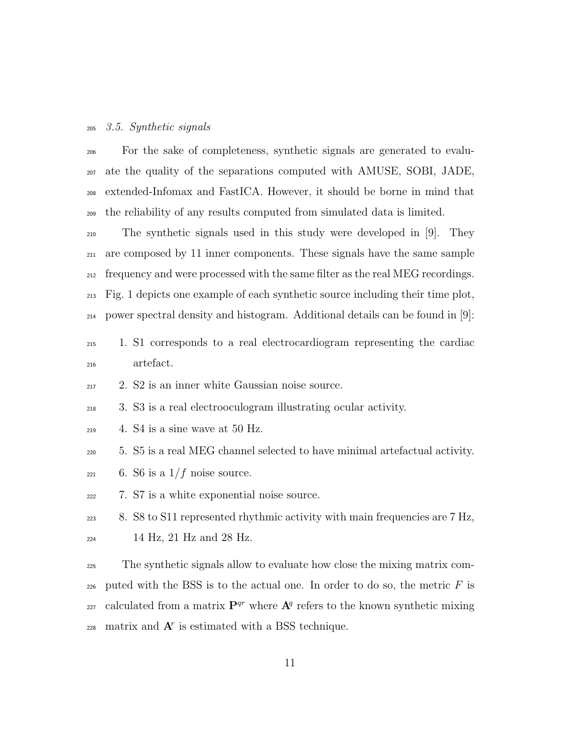#### 3.5. Synthetic signals

 For the sake of completeness, synthetic signals are generated to evalu- ate the quality of the separations computed with AMUSE, SOBI, JADE, extended-Infomax and FastICA. However, it should be borne in mind that the reliability of any results computed from simulated data is limited.

 The synthetic signals used in this study were developed in [9]. They are composed by 11 inner components. These signals have the same sample frequency and were processed with the same filter as the real MEG recordings. Fig. 1 depicts one example of each synthetic source including their time plot, power spectral density and histogram. Additional details can be found in [9]:

### 1. S1 corresponds to a real electrocardiogram representing the cardiac artefact.

2. S2 is an inner white Gaussian noise source.

3. S3 is a real electrooculogram illustrating ocular activity.

- $_{219}$  4. S4 is a sine wave at 50 Hz.
- 5. S5 is a real MEG channel selected to have minimal artefactual activity.
- $_{221}$  6. S6 is a  $1/f$  noise source.
- 7. S7 is a white exponential noise source.
- <sup>223</sup> 8. S8 to S11 represented rhythmic activity with main frequencies are 7 Hz, 14 Hz, 21 Hz and 28 Hz.
- The synthetic signals allow to evaluate how close the mixing matrix com-226 puted with the BSS is to the actual one. In order to do so, the metric  $F$  is calculated from a matrix  $\mathbf{P}^{qr}$  where  $\mathbf{A}^q$  refers to the known synthetic mixing  $_{228}$  matrix and  $A<sup>r</sup>$  is estimated with a BSS technique.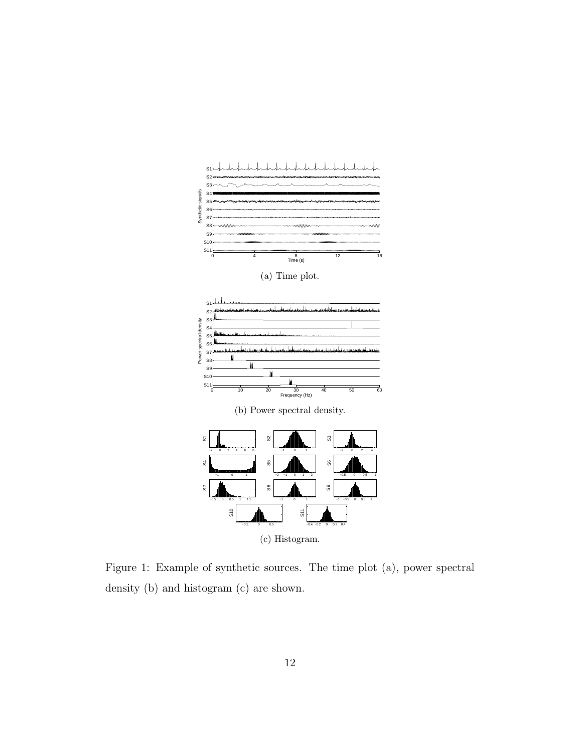

Figure 1: Example of synthetic sources. The time plot (a), power spectral density (b) and histogram (c) are shown.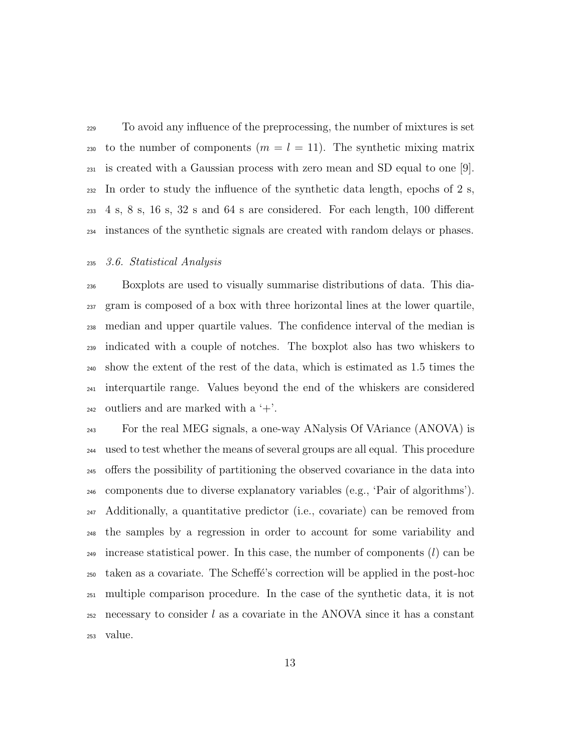To avoid any influence of the preprocessing, the number of mixtures is set 230 to the number of components  $(m = l = 11)$ . The synthetic mixing matrix is created with a Gaussian process with zero mean and SD equal to one [9].  $_{232}$  In order to study the influence of the synthetic data length, epochs of 2 s, 4 s, 8 s, 16 s, 32 s and 64 s are considered. For each length, 100 different instances of the synthetic signals are created with random delays or phases.

#### 3.6. Statistical Analysis

 Boxplots are used to visually summarise distributions of data. This dia- gram is composed of a box with three horizontal lines at the lower quartile, median and upper quartile values. The confidence interval of the median is indicated with a couple of notches. The boxplot also has two whiskers to show the extent of the rest of the data, which is estimated as 1.5 times the interquartile range. Values beyond the end of the whiskers are considered 242 outliers and are marked with a  $+$ .

 For the real MEG signals, a one-way ANalysis Of VAriance (ANOVA) is used to test whether the means of several groups are all equal. This procedure offers the possibility of partitioning the observed covariance in the data into components due to diverse explanatory variables (e.g., 'Pair of algorithms'). Additionally, a quantitative predictor (i.e., covariate) can be removed from the samples by a regression in order to account for some variability and increase statistical power. In this case, the number of components  $(l)$  can be taken as a covariate. The Scheff´e's correction will be applied in the post-hoc multiple comparison procedure. In the case of the synthetic data, it is not 252 necessary to consider l as a covariate in the ANOVA since it has a constant value.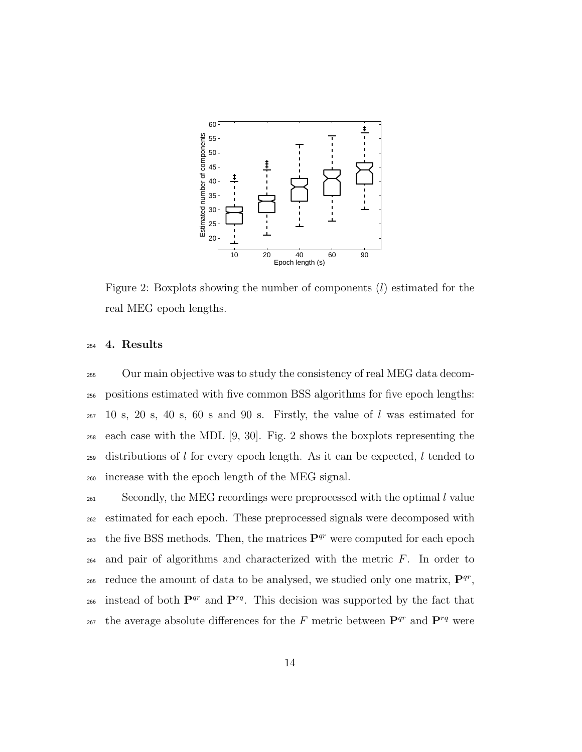

Figure 2: Boxplots showing the number of components  $(l)$  estimated for the real MEG epoch lengths.

#### 4. Results

 Our main objective was to study the consistency of real MEG data decom- positions estimated with five common BSS algorithms for five epoch lengths: 10 s, 20 s, 40 s, 60 s and 90 s. Firstly, the value of l was estimated for each case with the MDL [9, 30]. Fig. 2 shows the boxplots representing the 259 distributions of l for every epoch length. As it can be expected, l tended to increase with the epoch length of the MEG signal.

<sup>261</sup> Secondly, the MEG recordings were preprocessed with the optimal l value estimated for each epoch. These preprocessed signals were decomposed with the five BSS methods. Then, the matrices  $\mathbf{P}^{qr}$  were computed for each epoch  $_{264}$  and pair of algorithms and characterized with the metric  $F$ . In order to <sup>265</sup> reduce the amount of data to be analysed, we studied only one matrix,  $\mathbf{P}^{qr}$ , 266 instead of both  $\mathbf{P}^{qr}$  and  $\mathbf{P}^{rq}$ . This decision was supported by the fact that <sub>267</sub> the average absolute differences for the F metric between  $\mathbf{P}^{qr}$  and  $\mathbf{P}^{rq}$  were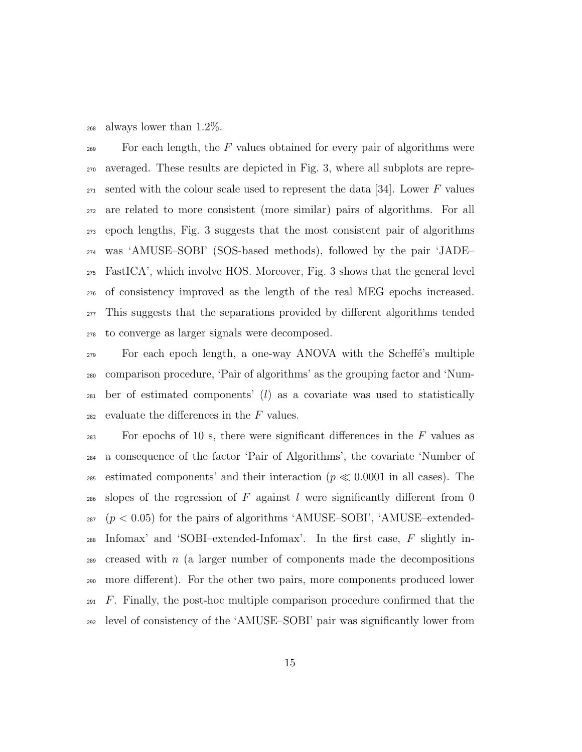always lower than 1.2%.

 $\epsilon_{269}$  For each length, the F values obtained for every pair of algorithms were averaged. These results are depicted in Fig. 3, where all subplots are repre- $_{271}$  sented with the colour scale used to represent the data [34]. Lower F values are related to more consistent (more similar) pairs of algorithms. For all epoch lengths, Fig. 3 suggests that the most consistent pair of algorithms was 'AMUSE–SOBI' (SOS-based methods), followed by the pair 'JADE– FastICA', which involve HOS. Moreover, Fig. 3 shows that the general level of consistency improved as the length of the real MEG epochs increased. This suggests that the separations provided by different algorithms tended to converge as larger signals were decomposed.

<sub>279</sub> For each epoch length, a one-way ANOVA with the Scheffe's multiple comparison procedure, 'Pair of algorithms' as the grouping factor and 'Num- ber of estimated components' (l) as a covariate was used to statistically 282 evaluate the differences in the  $F$  values.

 $\mathbb{P}^3$  For epochs of 10 s, there were significant differences in the F values as a consequence of the factor 'Pair of Algorithms', the covariate 'Number of 285 estimated components' and their interaction ( $p \ll 0.0001$  in all cases). The 286 slopes of the regression of F against l were significantly different from 0 287  $(p < 0.05)$  for the pairs of algorithms 'AMUSE–SOBI', 'AMUSE–extended- Infomax' and 'SOBI–extended-Infomax'. In the first case, F slightly in- creased with n (a larger number of components made the decompositions more different). For the other two pairs, more components produced lower  $_{291}$  F. Finally, the post-hoc multiple comparison procedure confirmed that the level of consistency of the 'AMUSE–SOBI' pair was significantly lower from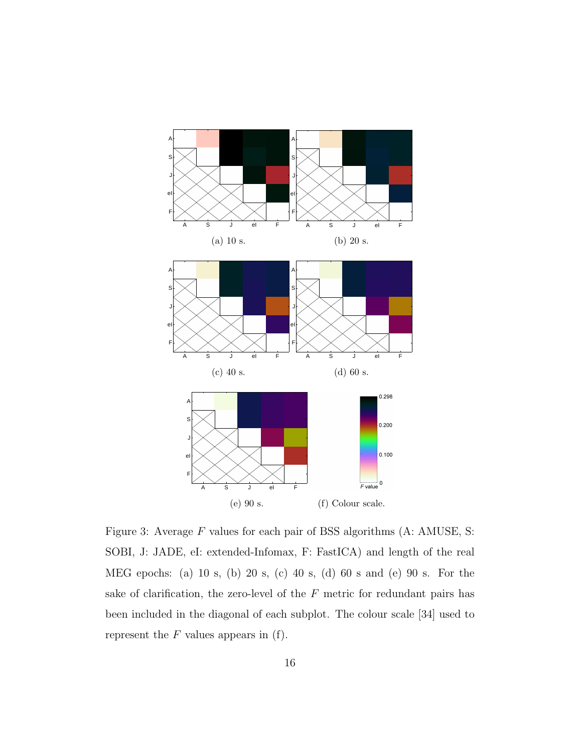

Figure 3: Average  $F$  values for each pair of BSS algorithms (A: AMUSE, S: SOBI, J: JADE, eI: extended-Infomax, F: FastICA) and length of the real MEG epochs: (a) 10 s, (b) 20 s, (c) 40 s, (d) 60 s and (e) 90 s. For the sake of clarification, the zero-level of the  $F$  metric for redundant pairs has been included in the diagonal of each subplot. The colour scale [34] used to represent the  $F$  values appears in (f).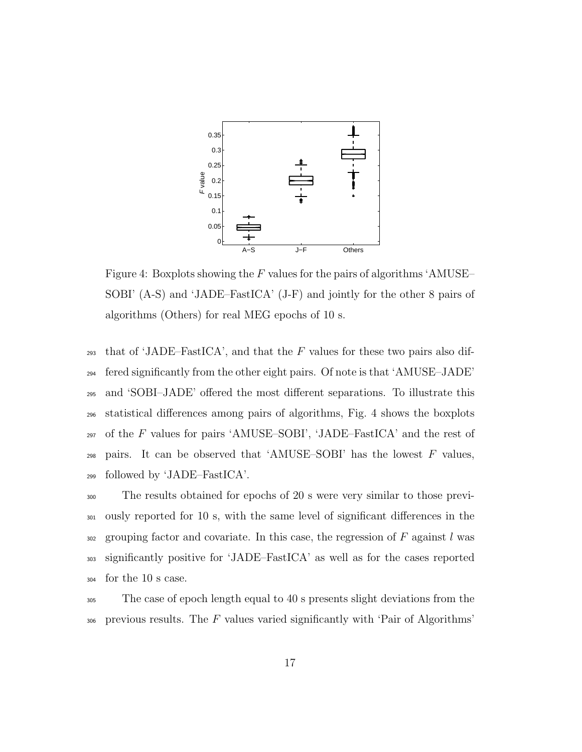

Figure 4: Boxplots showing the  $F$  values for the pairs of algorithms 'AMUSE-SOBI' (A-S) and 'JADE–FastICA' (J-F) and jointly for the other 8 pairs of algorithms (Others) for real MEG epochs of 10 s.

293 that of 'JADE–FastICA', and that the  $F$  values for these two pairs also dif-<sup>294</sup> fered significantly from the other eight pairs. Of note is that 'AMUSE–JADE' <sup>295</sup> and 'SOBI–JADE' offered the most different separations. To illustrate this <sup>296</sup> statistical differences among pairs of algorithms, Fig. 4 shows the boxplots  $_{297}$  of the F values for pairs 'AMUSE–SOBI', 'JADE–FastICA' and the rest of  $_{298}$  pairs. It can be observed that 'AMUSE–SOBI' has the lowest F values, <sup>299</sup> followed by 'JADE–FastICA'.

 The results obtained for epochs of 20 s were very similar to those previ- ously reported for 10 s, with the same level of significant differences in the 302 grouping factor and covariate. In this case, the regression of  $F$  against l was significantly positive for 'JADE–FastICA' as well as for the cases reported for the 10 s case.

<sup>305</sup> The case of epoch length equal to 40 s presents slight deviations from the  $306$  previous results. The F values varied significantly with 'Pair of Algorithms'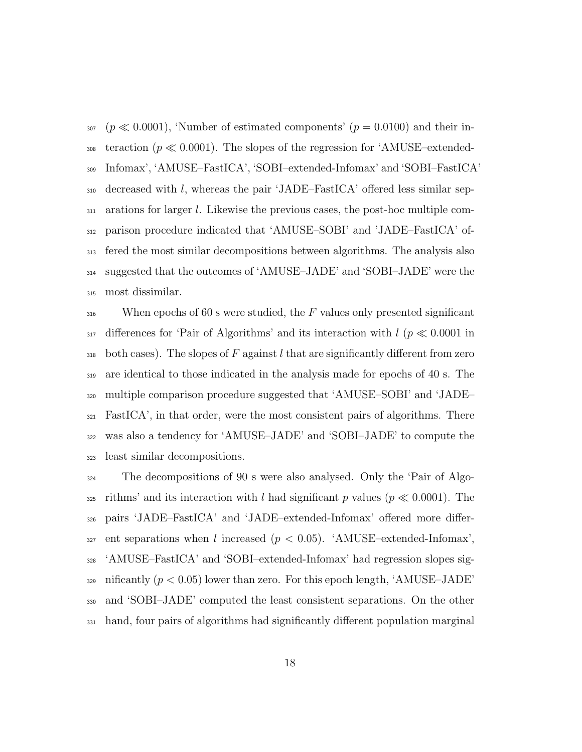307 ( $p \ll 0.0001$ ), 'Number of estimated components' ( $p = 0.0100$ ) and their in-<sup>308</sup> teraction ( $p \ll 0.0001$ ). The slopes of the regression for 'AMUSE–extended- Infomax', 'AMUSE–FastICA', 'SOBI–extended-Infomax' and 'SOBI–FastICA' decreased with l, whereas the pair 'JADE–FastICA' offered less similar sep- arations for larger l. Likewise the previous cases, the post-hoc multiple com- parison procedure indicated that 'AMUSE–SOBI' and 'JADE–FastICA' of- fered the most similar decompositions between algorithms. The analysis also suggested that the outcomes of 'AMUSE–JADE' and 'SOBI–JADE' were the most dissimilar.

 When epochs of 60 s were studied, the F values only presented significant  $_{317}$  differences for 'Pair of Algorithms' and its interaction with  $l$  ( $p \ll 0.0001$  in 318 both cases). The slopes of F against l that are significantly different from zero are identical to those indicated in the analysis made for epochs of 40 s. The multiple comparison procedure suggested that 'AMUSE–SOBI' and 'JADE– FastICA', in that order, were the most consistent pairs of algorithms. There was also a tendency for 'AMUSE–JADE' and 'SOBI–JADE' to compute the least similar decompositions.

 The decompositions of 90 s were also analysed. Only the 'Pair of Algo-325 rithms' and its interaction with l had significant p values ( $p \ll 0.0001$ ). The pairs 'JADE–FastICA' and 'JADE–extended-Infomax' offered more differ-327 ent separations when l increased  $(p < 0.05)$ . 'AMUSE-extended-Infomax', 'AMUSE–FastICA' and 'SOBI–extended-Infomax' had regression slopes sig- nificantly  $(p < 0.05)$  lower than zero. For this epoch length, 'AMUSE-JADE' and 'SOBI–JADE' computed the least consistent separations. On the other hand, four pairs of algorithms had significantly different population marginal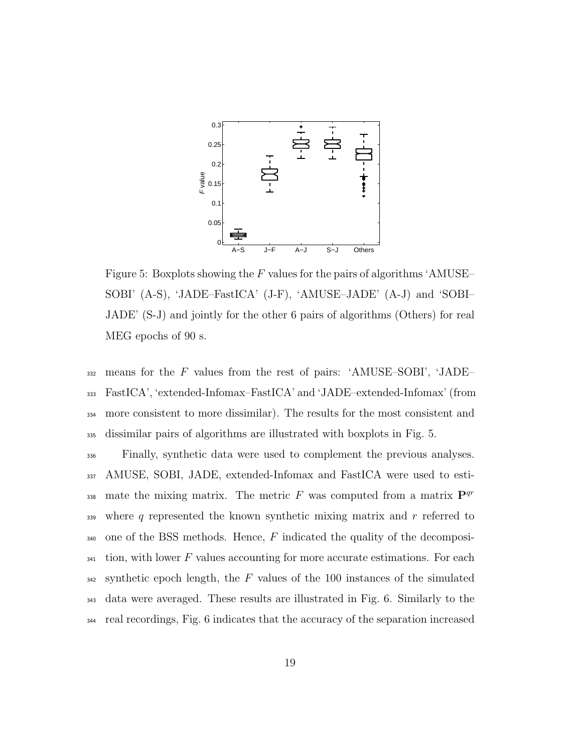

Figure 5: Boxplots showing the  $F$  values for the pairs of algorithms 'AMUSE-SOBI' (A-S), 'JADE–FastICA' (J-F), 'AMUSE–JADE' (A-J) and 'SOBI– JADE' (S-J) and jointly for the other 6 pairs of algorithms (Others) for real MEG epochs of 90 s.

 means for the F values from the rest of pairs: 'AMUSE–SOBI', 'JADE– FastICA', 'extended-Infomax–FastICA' and 'JADE–extended-Infomax' (from more consistent to more dissimilar). The results for the most consistent and dissimilar pairs of algorithms are illustrated with boxplots in Fig. 5.

<sup>336</sup> Finally, synthetic data were used to complement the previous analyses. <sup>337</sup> AMUSE, SOBI, JADE, extended-Infomax and FastICA were used to estimate the mixing matrix. The metric F was computed from a matrix  $\mathbf{P}^{qr}$ 338 339 where q represented the known synthetic mixing matrix and  $r$  referred to 340 one of the BSS methods. Hence,  $F$  indicated the quality of the decomposi- $341$  tion, with lower F values accounting for more accurate estimations. For each  $342$  synthetic epoch length, the F values of the 100 instances of the simulated <sup>343</sup> data were averaged. These results are illustrated in Fig. 6. Similarly to the <sup>344</sup> real recordings, Fig. 6 indicates that the accuracy of the separation increased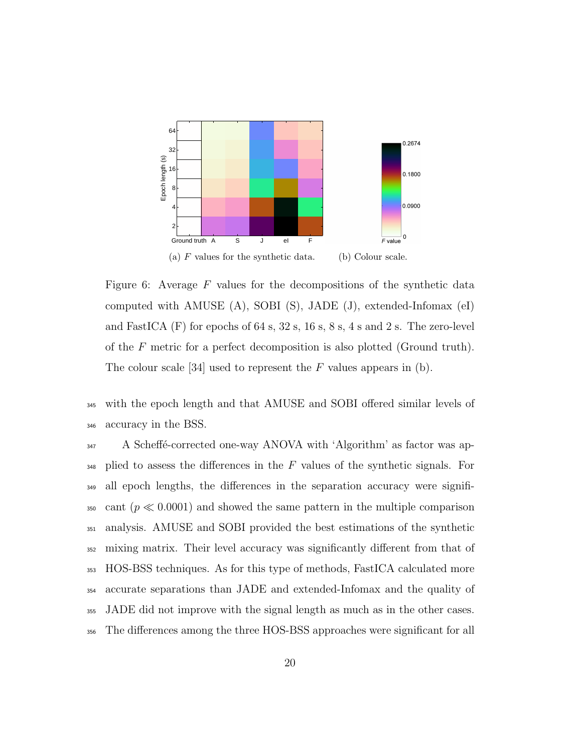

Figure 6: Average  $F$  values for the decompositions of the synthetic data computed with AMUSE (A), SOBI (S), JADE (J), extended-Infomax (eI) and FastICA (F) for epochs of 64 s, 32 s, 16 s, 8 s, 4 s and 2 s. The zero-level of the F metric for a perfect decomposition is also plotted (Ground truth). The colour scale [34] used to represent the  $F$  values appears in (b).

<sup>345</sup> with the epoch length and that AMUSE and SOBI offered similar levels of <sup>346</sup> accuracy in the BSS.

<sup>347</sup> A Scheffé-corrected one-way ANOVA with 'Algorithm' as factor was ap- $_{348}$  plied to assess the differences in the F values of the synthetic signals. For <sup>349</sup> all epoch lengths, the differences in the separation accuracy were signifi-350 cant ( $p \ll 0.0001$ ) and showed the same pattern in the multiple comparison <sup>351</sup> analysis. AMUSE and SOBI provided the best estimations of the synthetic <sup>352</sup> mixing matrix. Their level accuracy was significantly different from that of <sup>353</sup> HOS-BSS techniques. As for this type of methods, FastICA calculated more <sup>354</sup> accurate separations than JADE and extended-Infomax and the quality of <sup>355</sup> JADE did not improve with the signal length as much as in the other cases. <sup>356</sup> The differences among the three HOS-BSS approaches were significant for all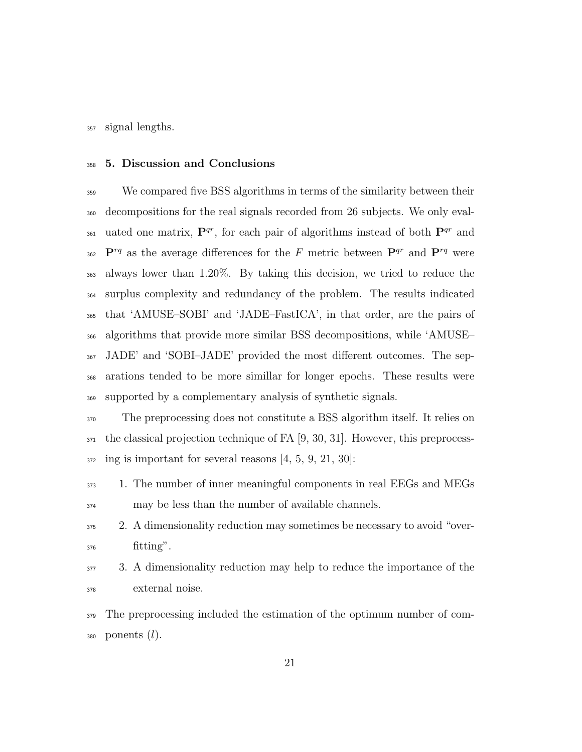signal lengths.

#### 5. Discussion and Conclusions

 We compared five BSS algorithms in terms of the similarity between their decompositions for the real signals recorded from 26 subjects. We only eval-361 uated one matrix,  $\mathbf{P}^{qr}$ , for each pair of algorithms instead of both  $\mathbf{P}^{qr}$  and  $P^{rq}$  as the average differences for the F metric between  $P^{qr}$  and  $P^{rq}$  were always lower than 1.20%. By taking this decision, we tried to reduce the surplus complexity and redundancy of the problem. The results indicated that 'AMUSE–SOBI' and 'JADE–FastICA', in that order, are the pairs of algorithms that provide more similar BSS decompositions, while 'AMUSE– JADE' and 'SOBI–JADE' provided the most different outcomes. The sep- arations tended to be more simillar for longer epochs. These results were supported by a complementary analysis of synthetic signals.

 The preprocessing does not constitute a BSS algorithm itself. It relies on the classical projection technique of FA [9, 30, 31]. However, this preprocess-ing is important for several reasons [4, 5, 9, 21, 30]:

- 1. The number of inner meaningful components in real EEGs and MEGs may be less than the number of available channels.
- 2. A dimensionality reduction may sometimes be necessary to avoid "over- $_{376}$  fitting".
- 3. A dimensionality reduction may help to reduce the importance of the external noise.

 The preprocessing included the estimation of the optimum number of com-380 ponents  $(l)$ .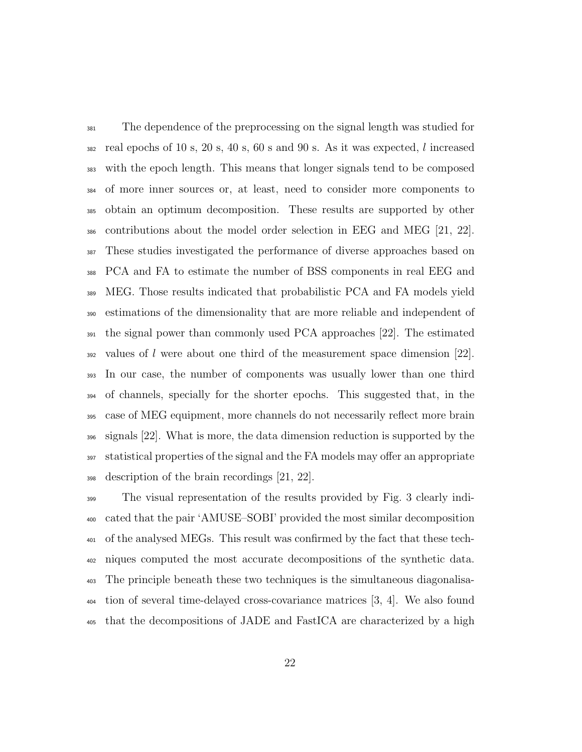The dependence of the preprocessing on the signal length was studied for real epochs of 10 s, 20 s, 40 s, 60 s and 90 s. As it was expected, l increased with the epoch length. This means that longer signals tend to be composed of more inner sources or, at least, need to consider more components to obtain an optimum decomposition. These results are supported by other contributions about the model order selection in EEG and MEG [21, 22]. These studies investigated the performance of diverse approaches based on PCA and FA to estimate the number of BSS components in real EEG and MEG. Those results indicated that probabilistic PCA and FA models yield estimations of the dimensionality that are more reliable and independent of the signal power than commonly used PCA approaches [22]. The estimated values of l were about one third of the measurement space dimension [22]. In our case, the number of components was usually lower than one third of channels, specially for the shorter epochs. This suggested that, in the case of MEG equipment, more channels do not necessarily reflect more brain signals [22]. What is more, the data dimension reduction is supported by the statistical properties of the signal and the FA models may offer an appropriate description of the brain recordings [21, 22].

 The visual representation of the results provided by Fig. 3 clearly indi- cated that the pair 'AMUSE–SOBI' provided the most similar decomposition of the analysed MEGs. This result was confirmed by the fact that these tech- niques computed the most accurate decompositions of the synthetic data. The principle beneath these two techniques is the simultaneous diagonalisa- tion of several time-delayed cross-covariance matrices [3, 4]. We also found that the decompositions of JADE and FastICA are characterized by a high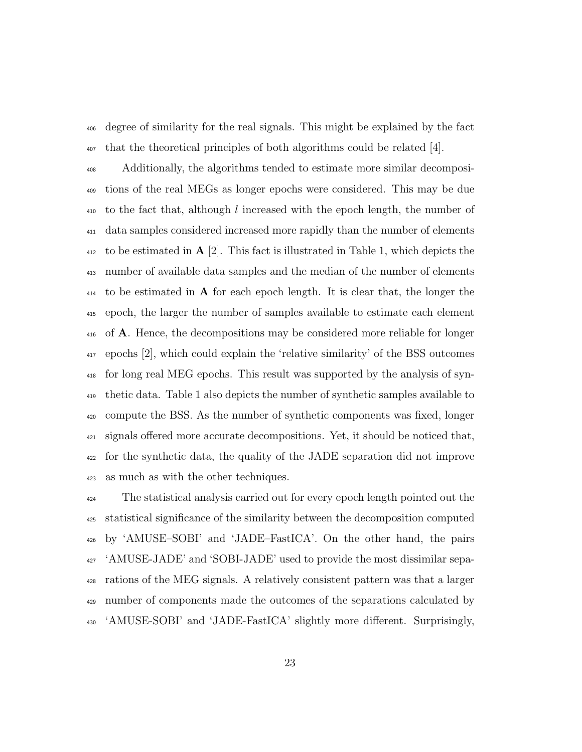degree of similarity for the real signals. This might be explained by the fact that the theoretical principles of both algorithms could be related [4].

 Additionally, the algorithms tended to estimate more similar decomposi- tions of the real MEGs as longer epochs were considered. This may be due to the fact that, although l increased with the epoch length, the number of data samples considered increased more rapidly than the number of elements  $_{412}$  to be estimated in  $A$  [2]. This fact is illustrated in Table 1, which depicts the number of available data samples and the median of the number of elements to be estimated in **A** for each epoch length. It is clear that, the longer the epoch, the larger the number of samples available to estimate each element of A. Hence, the decompositions may be considered more reliable for longer epochs [2], which could explain the 'relative similarity' of the BSS outcomes for long real MEG epochs. This result was supported by the analysis of syn- thetic data. Table 1 also depicts the number of synthetic samples available to compute the BSS. As the number of synthetic components was fixed, longer signals offered more accurate decompositions. Yet, it should be noticed that, for the synthetic data, the quality of the JADE separation did not improve as much as with the other techniques.

<sup>424</sup> The statistical analysis carried out for every epoch length pointed out the statistical significance of the similarity between the decomposition computed by 'AMUSE–SOBI' and 'JADE–FastICA'. On the other hand, the pairs 'AMUSE-JADE' and 'SOBI-JADE' used to provide the most dissimilar sepa- rations of the MEG signals. A relatively consistent pattern was that a larger number of components made the outcomes of the separations calculated by 'AMUSE-SOBI' and 'JADE-FastICA' slightly more different. Surprisingly,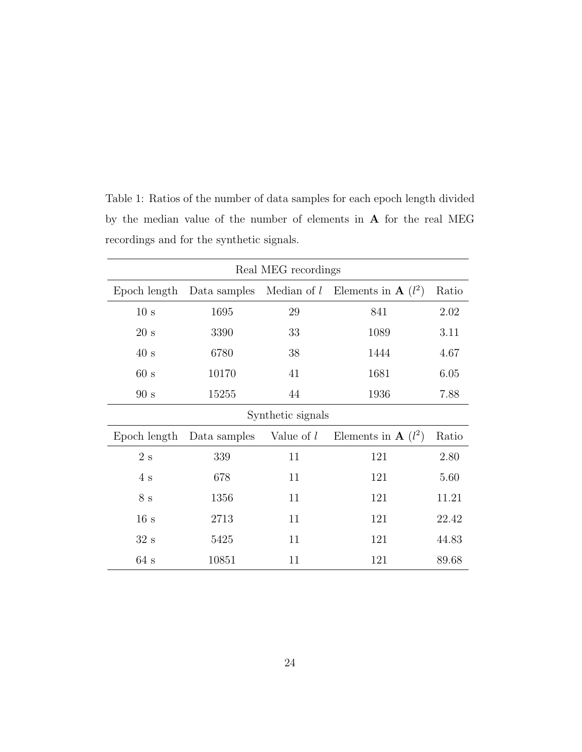| Real MEG recordings |              |               |                                  |       |
|---------------------|--------------|---------------|----------------------------------|-------|
| Epoch length        | Data samples | Median of $l$ | Elements in $\mathbf{A}$ $(l^2)$ | Ratio |
| 10 s                | 1695         | 29            | 841                              | 2.02  |
| 20 s                | 3390         | 33            | 1089                             | 3.11  |
| 40 s                | 6780         | 38            | 1444                             | 4.67  |
| 60 s                | 10170        | 41            | 1681                             | 6.05  |
| 90 s                | 15255        | 44            | 1936                             | 7.88  |
| Synthetic signals   |              |               |                                  |       |
| Epoch length        | Data samples | Value of l    | Elements in $\mathbf{A}$ $(l^2)$ | Ratio |
| $2\mathrm{\ s}$     | 339          | 11            | 121                              | 2.80  |
| 4s                  | 678          | 11            | 121                              | 5.60  |
| $8\mathrm{\ s}$     | 1356         | 11            | 121                              | 11.21 |
| 16 s                | 2713         | 11            | 121                              | 22.42 |
| 32 s                | 5425         | 11            | 121                              | 44.83 |
| 64 s                | 10851        | 11            | 121                              | 89.68 |

Table 1: Ratios of the number of data samples for each epoch length divided by the median value of the number of elements in A for the real MEG recordings and for the synthetic signals.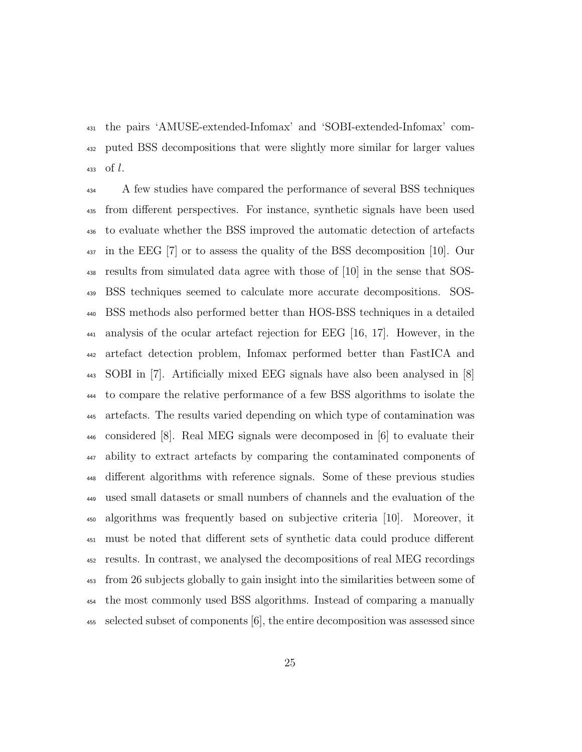the pairs 'AMUSE-extended-Infomax' and 'SOBI-extended-Infomax' com- puted BSS decompositions that were slightly more similar for larger values of l.

<sup>434</sup> A few studies have compared the performance of several BSS techniques from different perspectives. For instance, synthetic signals have been used to evaluate whether the BSS improved the automatic detection of artefacts in the EEG [7] or to assess the quality of the BSS decomposition [10]. Our results from simulated data agree with those of [10] in the sense that SOS- BSS techniques seemed to calculate more accurate decompositions. SOS- BSS methods also performed better than HOS-BSS techniques in a detailed analysis of the ocular artefact rejection for EEG [16, 17]. However, in the artefact detection problem, Infomax performed better than FastICA and SOBI in [7]. Artificially mixed EEG signals have also been analysed in [8] to compare the relative performance of a few BSS algorithms to isolate the artefacts. The results varied depending on which type of contamination was considered [8]. Real MEG signals were decomposed in [6] to evaluate their ability to extract artefacts by comparing the contaminated components of different algorithms with reference signals. Some of these previous studies used small datasets or small numbers of channels and the evaluation of the algorithms was frequently based on subjective criteria [10]. Moreover, it must be noted that different sets of synthetic data could produce different results. In contrast, we analysed the decompositions of real MEG recordings from 26 subjects globally to gain insight into the similarities between some of the most commonly used BSS algorithms. Instead of comparing a manually selected subset of components [6], the entire decomposition was assessed since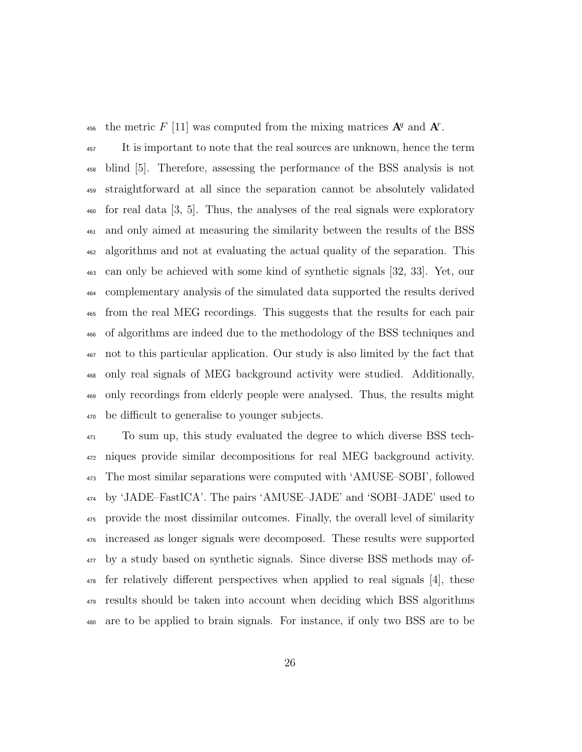456 the metric F [11] was computed from the mixing matrices  $A^q$  and  $A^r$ .

<sup>457</sup> It is important to note that the real sources are unknown, hence the term blind [5]. Therefore, assessing the performance of the BSS analysis is not straightforward at all since the separation cannot be absolutely validated for real data [3, 5]. Thus, the analyses of the real signals were exploratory and only aimed at measuring the similarity between the results of the BSS algorithms and not at evaluating the actual quality of the separation. This can only be achieved with some kind of synthetic signals [32, 33]. Yet, our complementary analysis of the simulated data supported the results derived from the real MEG recordings. This suggests that the results for each pair of algorithms are indeed due to the methodology of the BSS techniques and not to this particular application. Our study is also limited by the fact that only real signals of MEG background activity were studied. Additionally, only recordings from elderly people were analysed. Thus, the results might be difficult to generalise to younger subjects.

 To sum up, this study evaluated the degree to which diverse BSS tech- niques provide similar decompositions for real MEG background activity. The most similar separations were computed with 'AMUSE–SOBI', followed by 'JADE–FastICA'. The pairs 'AMUSE–JADE' and 'SOBI–JADE' used to provide the most dissimilar outcomes. Finally, the overall level of similarity increased as longer signals were decomposed. These results were supported by a study based on synthetic signals. Since diverse BSS methods may of- fer relatively different perspectives when applied to real signals [4], these results should be taken into account when deciding which BSS algorithms are to be applied to brain signals. For instance, if only two BSS are to be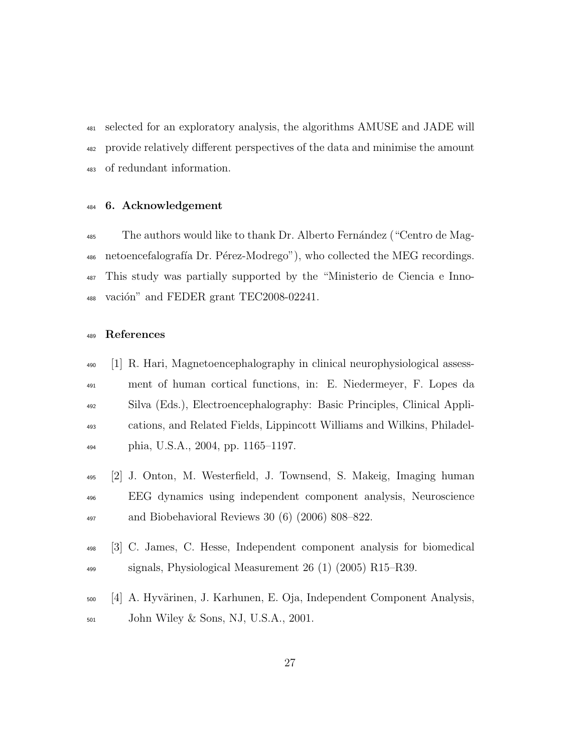selected for an exploratory analysis, the algorithms AMUSE and JADE will provide relatively different perspectives of the data and minimise the amount of redundant information.

#### 6. Acknowledgement

<sup>485</sup> The authors would like to thank Dr. Alberto Fernández ("Centro de Mag-486 netoencefalografía Dr. Pérez-Modrego"), who collected the MEG recordings. This study was partially supported by the "Ministerio de Ciencia e Inno-488 vación" and FEDER grant TEC2008-02241.

#### References

- [1] R. Hari, Magnetoencephalography in clinical neurophysiological assess- ment of human cortical functions, in: E. Niedermeyer, F. Lopes da Silva (Eds.), Electroencephalography: Basic Principles, Clinical Appli- cations, and Related Fields, Lippincott Williams and Wilkins, Philadel-phia, U.S.A., 2004, pp. 1165–1197.
- [2] J. Onton, M. Westerfield, J. Townsend, S. Makeig, Imaging human EEG dynamics using independent component analysis, Neuroscience and Biobehavioral Reviews 30 (6) (2006) 808–822.
- [3] C. James, C. Hesse, Independent component analysis for biomedical signals, Physiological Measurement 26 (1) (2005) R15–R39.
- 500 [4] A. Hyvärinen, J. Karhunen, E. Oja, Independent Component Analysis, John Wiley & Sons, NJ, U.S.A., 2001.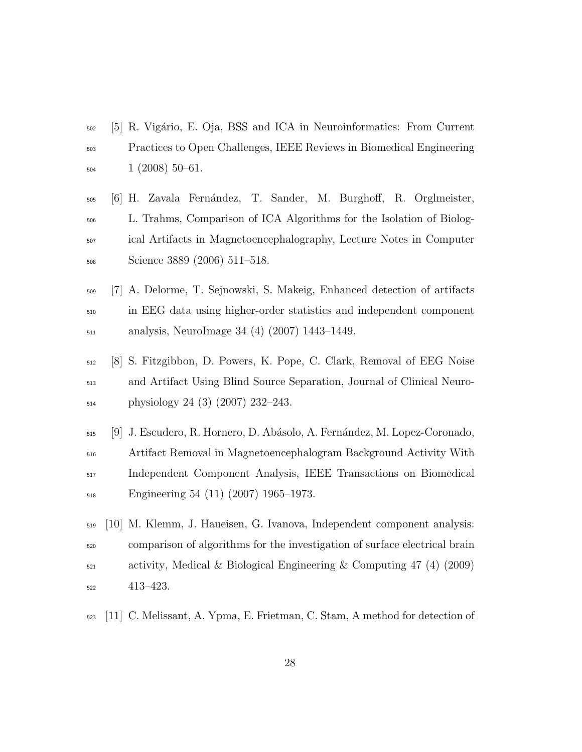- [5] R. Vig´ario, E. Oja, BSS and ICA in Neuroinformatics: From Current Practices to Open Challenges, IEEE Reviews in Biomedical Engineering  $1 (2008) 50-61.$
- [6] H. Zavala Fern´andez, T. Sander, M. Burghoff, R. Orglmeister, L. Trahms, Comparison of ICA Algorithms for the Isolation of Biolog- ical Artifacts in Magnetoencephalography, Lecture Notes in Computer Science 3889 (2006) 511–518.
- [7] A. Delorme, T. Sejnowski, S. Makeig, Enhanced detection of artifacts in EEG data using higher-order statistics and independent component analysis, NeuroImage 34 (4) (2007) 1443–1449.
- [8] S. Fitzgibbon, D. Powers, K. Pope, C. Clark, Removal of EEG Noise and Artifact Using Blind Source Separation, Journal of Clinical Neuro-physiology 24 (3) (2007) 232–243.
- [9] J. Escudero, R. Hornero, D. Ab´asolo, A. Fern´andez, M. Lopez-Coronado, Artifact Removal in Magnetoencephalogram Background Activity With Independent Component Analysis, IEEE Transactions on Biomedical Engineering 54 (11) (2007) 1965–1973.
- [10] M. Klemm, J. Haueisen, G. Ivanova, Independent component analysis: comparison of algorithms for the investigation of surface electrical brain  $\sigma_{\text{521}}$  activity, Medical & Biological Engineering & Computing 47 (4) (2009) 413–423.
- [11] C. Melissant, A. Ypma, E. Frietman, C. Stam, A method for detection of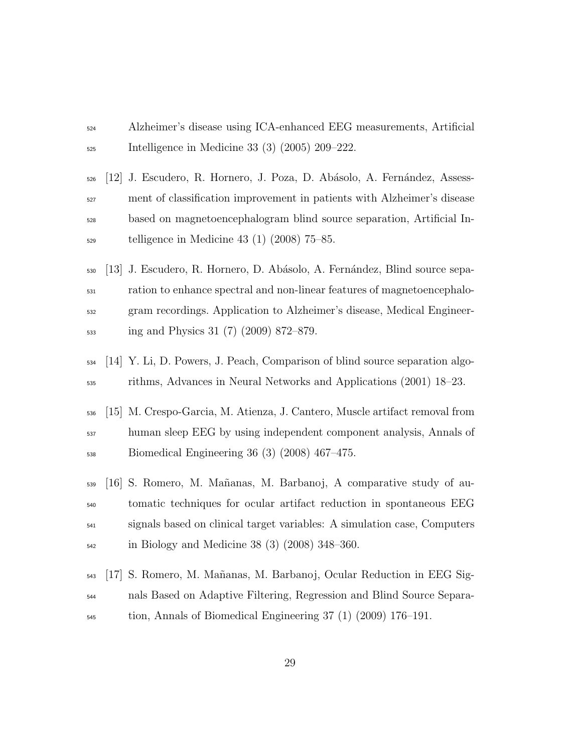- Alzheimer's disease using ICA-enhanced EEG measurements, Artificial Intelligence in Medicine 33 (3) (2005) 209–222.
- [12] J. Escudero, R. Hornero, J. Poza, D. Ab´asolo, A. Fern´andez, Assess- ment of classification improvement in patients with Alzheimer's disease based on magnetoencephalogram blind source separation, Artificial In-telligence in Medicine 43 (1) (2008) 75–85.
- [13] J. Escudero, R. Hornero, D. Ab´asolo, A. Fern´andez, Blind source sepa- ration to enhance spectral and non-linear features of magnetoencephalo- gram recordings. Application to Alzheimer's disease, Medical Engineer-ing and Physics 31 (7) (2009) 872–879.
- [14] Y. Li, D. Powers, J. Peach, Comparison of blind source separation algo-rithms, Advances in Neural Networks and Applications (2001) 18–23.
- [15] M. Crespo-Garcia, M. Atienza, J. Cantero, Muscle artifact removal from human sleep EEG by using independent component analysis, Annals of Biomedical Engineering 36 (3) (2008) 467–475.
- [16] S. Romero, M. Ma˜nanas, M. Barbanoj, A comparative study of au- tomatic techniques for ocular artifact reduction in spontaneous EEG signals based on clinical target variables: A simulation case, Computers in Biology and Medicine 38 (3) (2008) 348–360.
- [17] S. Romero, M. Ma˜nanas, M. Barbanoj, Ocular Reduction in EEG Sig- nals Based on Adaptive Filtering, Regression and Blind Source Separa-tion, Annals of Biomedical Engineering 37 (1) (2009) 176–191.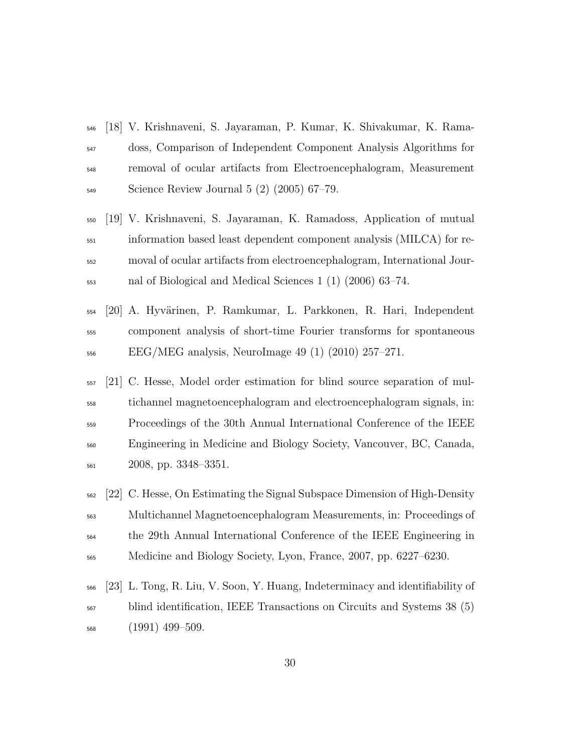- [18] V. Krishnaveni, S. Jayaraman, P. Kumar, K. Shivakumar, K. Rama- doss, Comparison of Independent Component Analysis Algorithms for removal of ocular artifacts from Electroencephalogram, Measurement Science Review Journal 5 (2) (2005) 67–79.
- [19] V. Krishnaveni, S. Jayaraman, K. Ramadoss, Application of mutual information based least dependent component analysis (MILCA) for re- moval of ocular artifacts from electroencephalogram, International Jour-nal of Biological and Medical Sciences 1 (1) (2006) 63–74.
- [20] A. Hyv¨arinen, P. Ramkumar, L. Parkkonen, R. Hari, Independent component analysis of short-time Fourier transforms for spontaneous EEG/MEG analysis, NeuroImage 49 (1) (2010) 257–271.
- [21] C. Hesse, Model order estimation for blind source separation of mul- tichannel magnetoencephalogram and electroencephalogram signals, in: Proceedings of the 30th Annual International Conference of the IEEE Engineering in Medicine and Biology Society, Vancouver, BC, Canada, 2008, pp. 3348–3351.
- [22] C. Hesse, On Estimating the Signal Subspace Dimension of High-Density Multichannel Magnetoencephalogram Measurements, in: Proceedings of the 29th Annual International Conference of the IEEE Engineering in Medicine and Biology Society, Lyon, France, 2007, pp. 6227–6230.
- [23] L. Tong, R. Liu, V. Soon, Y. Huang, Indeterminacy and identifiability of blind identification, IEEE Transactions on Circuits and Systems 38 (5) (1991) 499–509.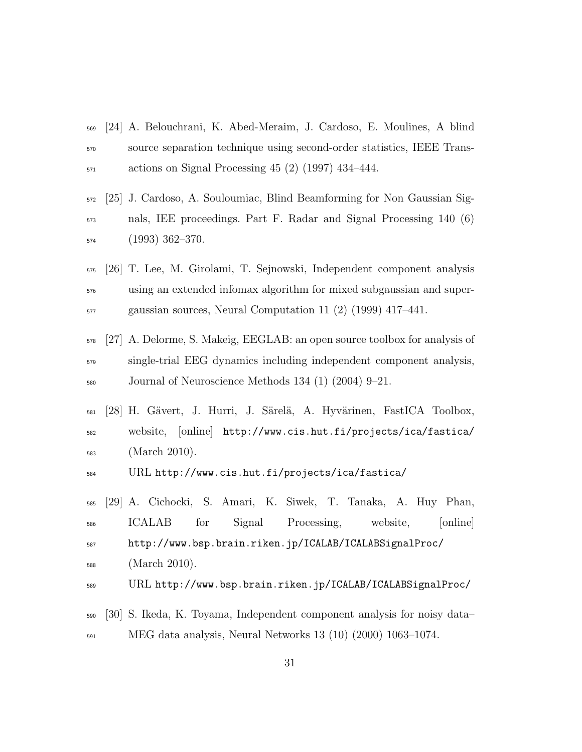- [24] A. Belouchrani, K. Abed-Meraim, J. Cardoso, E. Moulines, A blind source separation technique using second-order statistics, IEEE Trans- $\frac{571}{20}$  actions on Signal Processing 45 (2) (1997) 434–444.
- [25] J. Cardoso, A. Souloumiac, Blind Beamforming for Non Gaussian Sig- nals, IEE proceedings. Part F. Radar and Signal Processing 140 (6) (1993) 362–370.
- [26] T. Lee, M. Girolami, T. Sejnowski, Independent component analysis using an extended infomax algorithm for mixed subgaussian and super-gaussian sources, Neural Computation 11 (2) (1999) 417–441.
- [27] A. Delorme, S. Makeig, EEGLAB: an open source toolbox for analysis of single-trial EEG dynamics including independent component analysis, Journal of Neuroscience Methods 134 (1) (2004) 9–21.
- <sup>581</sup> [28] H. Gävert, J. Hurri, J. Särelä, A. Hyvärinen, FastICA Toolbox, website, [online] http://www.cis.hut.fi/projects/ica/fastica/ (March 2010).
- URL http://www.cis.hut.fi/projects/ica/fastica/
- [29] A. Cichocki, S. Amari, K. Siwek, T. Tanaka, A. Huy Phan, ICALAB for Signal Processing, website, [online] http://www.bsp.brain.riken.jp/ICALAB/ICALABSignalProc/ (March 2010).
- URL http://www.bsp.brain.riken.jp/ICALAB/ICALABSignalProc/
- [30] S. Ikeda, K. Toyama, Independent component analysis for noisy data– MEG data analysis, Neural Networks 13 (10) (2000) 1063–1074.